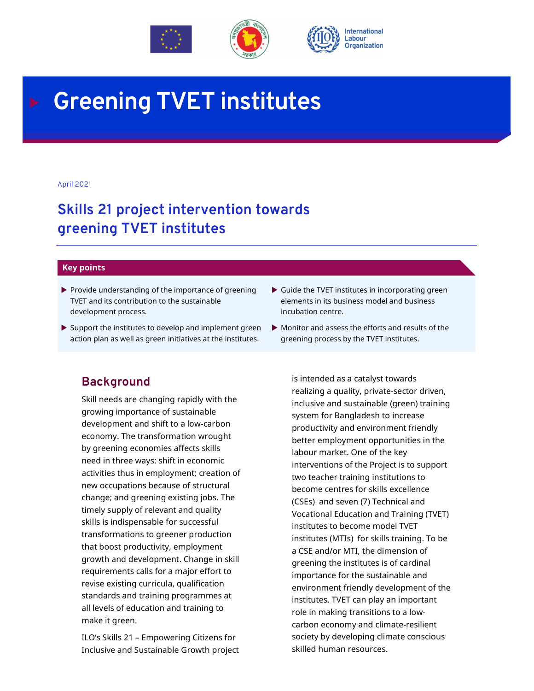

# **Greening TVET institutes**

#### April 2021

# **Skills 21 project intervention towards greening TVET institutes**

#### **Key points**

- $\blacktriangleright$  Provide understanding of the importance of greening TVET and its contribution to the sustainable development process.
- $\blacktriangleright$  Support the institutes to develop and implement green action plan as well as green initiatives at the institutes.

## **Background**

Skill needs are changing rapidly with the growing importance of sustainable development and shift to a low-carbon economy. The transformation wrought by greening economies affects skills need in three ways: shift in economic activities thus in employment; creation of new occupations because of structural change; and greening existing jobs. The timely supply of relevant and quality skills is indispensable for successful transformations to greener production that boost productivity, employment growth and development. Change in skill requirements calls for a major effort to revise existing curricula, qualification standards and training programmes at all levels of education and training to make it green.

ILO's Skills 21 – Empowering Citizens for Inclusive and Sustainable Growth project

- $\blacktriangleright$  Guide the TVET institutes in incorporating green elements in its business model and business incubation centre.
- Monitor and assess the efforts and results of the greening process by the TVET institutes.

is intended as a catalyst towards realizing a quality, private-sector driven, inclusive and sustainable (green) training system for Bangladesh to increase productivity and environment friendly better employment opportunities in the labour market. One of the key interventions of the Project is to support two teacher training institutions to become centres for skills excellence (CSEs) and seven (7) Technical and Vocational Education and Training (TVET) institutes to become model TVET institutes (MTIs) for skills training. To be a CSE and/or MTI, the dimension of greening the institutes is of cardinal importance for the sustainable and environment friendly development of the institutes. TVET can play an important role in making transitions to a lowcarbon economy and climate-resilient society by developing climate conscious skilled human resources.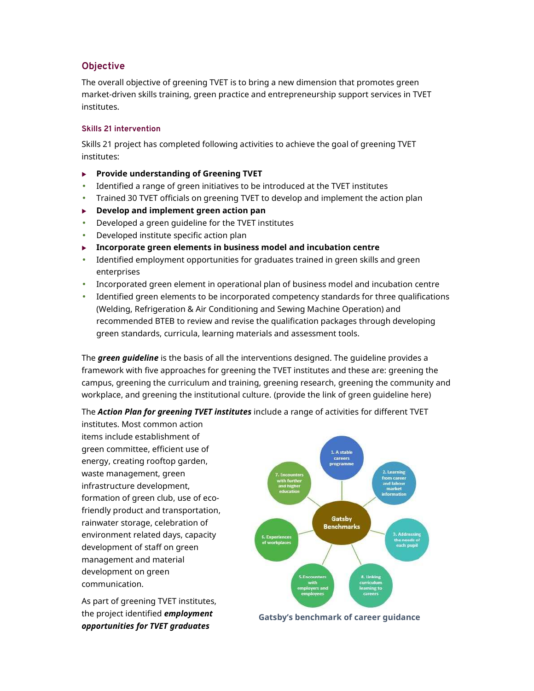## **Objective**

The overall objective of greening TVET is to bring a new dimension that promotes green market-driven skills training, green practice and entrepreneurship support services in TVET institutes.

### **Skills 21 intervention**

Skills 21 project has completed following activities to achieve the goal of greening TVET institutes:

- **Provide understanding of Greening TVET**
- Identified a range of green initiatives to be introduced at the TVET institutes
- Trained 30 TVET officials on greening TVET to develop and implement the action plan
- **Develop and implement green action pan**
- Developed a green guideline for the TVET institutes
- Developed institute specific action plan
- **Incorporate green elements in business model and incubation centre**
- Identified employment opportunities for graduates trained in green skills and green enterprises
- Incorporated green element in operational plan of business model and incubation centre
- Identified green elements to be incorporated competency standards for three qualifications (Welding, Refrigeration & Air Conditioning and Sewing Machine Operation) and recommended BTEB to review and revise the qualification packages through developing green standards, curricula, learning materials and assessment tools.

The *green guideline* is the basis of all the interventions designed. The guideline provides a framework with five approaches for greening the TVET institutes and these are: greening the campus, greening the curriculum and training, greening research, greening the community and workplace, and greening the institutional culture. (provide the link of green guideline here)

The *Action Plan for greening TVET institutes* include a range of activities for different TVET

institutes. Most common action items include establishment of green committee, efficient use of energy, creating rooftop garden, waste management, green infrastructure development, formation of green club, use of ecofriendly product and transportation, rainwater storage, celebration of environment related days, capacity development of staff on green management and material development on green communication.

As part of greening TVET institutes, the project identified *employment opportunities for TVET graduates*



**Gatsby's benchmark of career guidance**